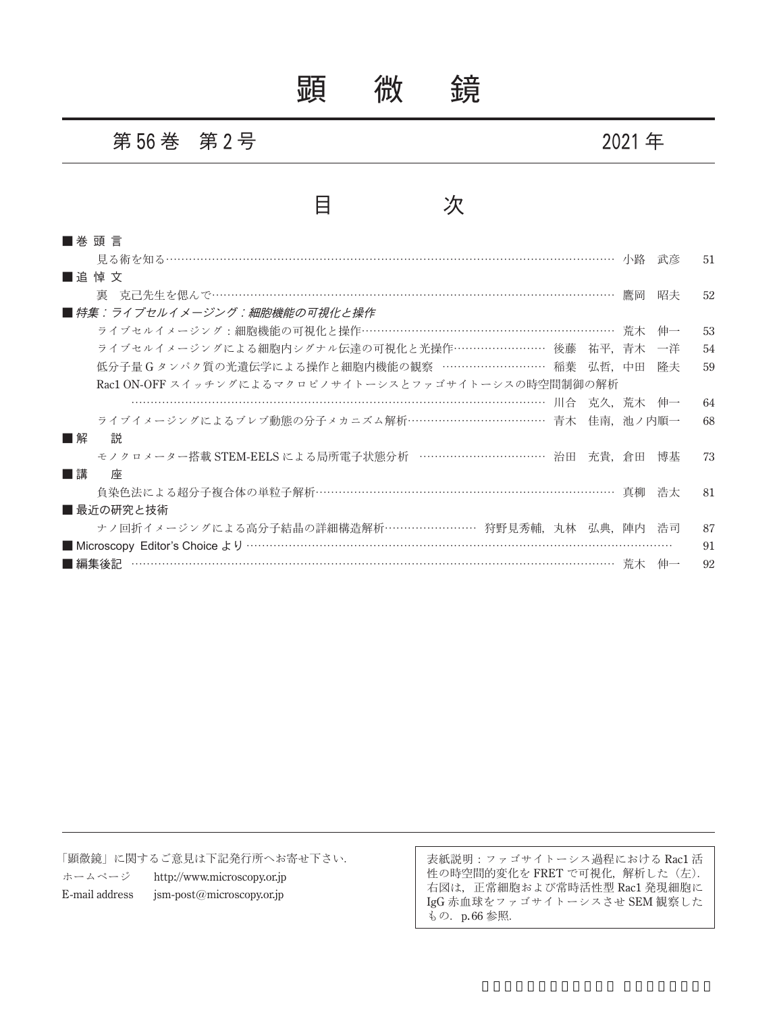# 顕 微 鏡

#### 第 **56** 巻 第 **2** 号 **2021** 年

### 目 次

| ■ 巻 頭 言                                             |        |            |    |
|-----------------------------------------------------|--------|------------|----|
|                                                     |        | 武彦         | 51 |
| ■追悼文                                                |        |            |    |
|                                                     | 鷹岡     | 昭夫         | 52 |
| ■ 特集:ライブセルイメージング:細胞機能の可視化と操作                        |        |            |    |
| ライブセルイメージング:細胞機能の可視化と操作………………………………………………………… 荒木    |        | 伸一         | 53 |
| ライブセルイメージングによる細胞内シグナル伝達の可視化と光操作…………………… 後藤 祐平,青木    |        | 一洋         | 54 |
| 低分子量 G タンパク質の光遺伝学による操作と細胞内機能の観察 ……………………… 稲葉 弘哲,中田  |        | 降夫         | 59 |
| Rac1 ON-OFF スイッチングによるマクロピノサイトーシスとファゴサイトーシスの時空間制御の解析 |        |            |    |
| 川合                                                  |        | - 克久、荒木 伸一 | 64 |
| ライブイメージングによるブレブ動態の分子メカニズム解析……………………………… 青木 佳南,池ノ内順一 |        |            | 68 |
| ■解<br>説                                             |        |            |    |
| モノクロメーター搭載 STEM-EELS による局所電子状態分析 …………………………… 治田     | 充貴, 倉田 | 博基         | 73 |
| ■講<br>座                                             |        |            |    |
| 負染色法による超分子複合体の単粒子解析………………………………………………………………… 真柳     |        | 浩太         | 81 |
| ■ 最近の研究と技術                                          |        |            |    |
| ナノ回折イメージングによる高分子結晶の詳細構造解析…………………… 狩野見秀輔, 丸林 弘典, 陣内  |        | 浩司         | 87 |
|                                                     |        |            | 91 |
| ……………………………………………………………………………… 荒木<br>■編集後記          |        |            | 92 |

「顕微鏡」に関するご意見は下記発行所へお寄せ下さい. ホームページ http://www.microscopy.or.jp E-mail address jsm-post@microscopy.or.jp

表紙説明:ファゴサイトーシス過程における Rac1 活 性の時空間的変化を FRET で可視化,解析した(左). 右図は、正常細胞および常時活性型 Rac1 発現細胞に IgG 赤血球をファゴサイトーシスさせ SEM 観察した もの. p.66 参照.